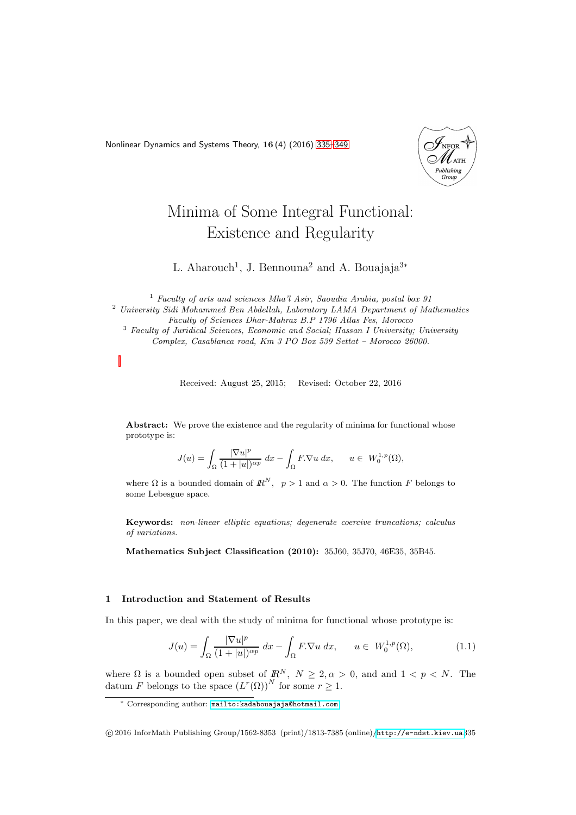<span id="page-0-0"></span>Nonlinear Dynamics and Systems Theory, 16 (4) (2016) [335–](#page-0-0)[349](#page-13-0)



# Minima of Some Integral Functional: Existence and Regularity

L. Aharouch<sup>1</sup>, J. Bennouna<sup>2</sup> and A. Bouajaja<sup>3\*</sup>

<sup>1</sup> Faculty of arts and sciences Mha'l Asir, Saoudia Arabia, postal box 91 <sup>2</sup> University Sidi Mohammed Ben Abdellah, Laboratory LAMA Department of Mathematics Faculty of Sciences Dhar-Mahraz B.P 1796 Atlas Fes, Morocco <sup>3</sup> Faculty of Juridical Sciences, Economic and Social; Hassan I University; University Complex, Casablanca road, Km 3 PO Box 539 Settat – Morocco 26000.

Received: August 25, 2015; Revised: October 22, 2016

Abstract: We prove the existence and the regularity of minima for functional whose prototype is:

$$
J(u) = \int_{\Omega} \frac{|\nabla u|^p}{(1+|u|)^{\alpha p}} dx - \int_{\Omega} F.\nabla u dx, \qquad u \in W_0^{1,p}(\Omega),
$$

where  $\Omega$  is a bounded domain of  $\mathbb{R}^N$ ,  $p > 1$  and  $\alpha > 0$ . The function F belongs to some Lebesgue space.

Keywords: non-linear elliptic equations; degenerate coercive truncations; calculus of variations.

Mathematics Subject Classification (2010): 35J60, 35J70, 46E35, 35B45.

## 1 Introduction and Statement of Results

In this paper, we deal with the study of minima for functional whose prototype is:

<span id="page-0-1"></span>
$$
J(u) = \int_{\Omega} \frac{|\nabla u|^p}{(1+|u|)^{\alpha p}} dx - \int_{\Omega} F. \nabla u dx, \qquad u \in W_0^{1,p}(\Omega), \tag{1.1}
$$

where  $\Omega$  is a bounded open subset of  $\mathbb{R}^N$ ,  $N \geq 2, \alpha > 0$ , and and  $1 < p < N$ . The datum F belongs to the space  $(L^r(\Omega))^N$  for some  $r \geq 1$ .

<sup>∗</sup> Corresponding author: [mailto:kadabouajaja@hotmail.com](mailto: kadabouajaja@hotmail.com)

c 2016 InforMath Publishing Group/1562-8353 (print)/1813-7385 (online)/<http://e-ndst.kiev.ua>335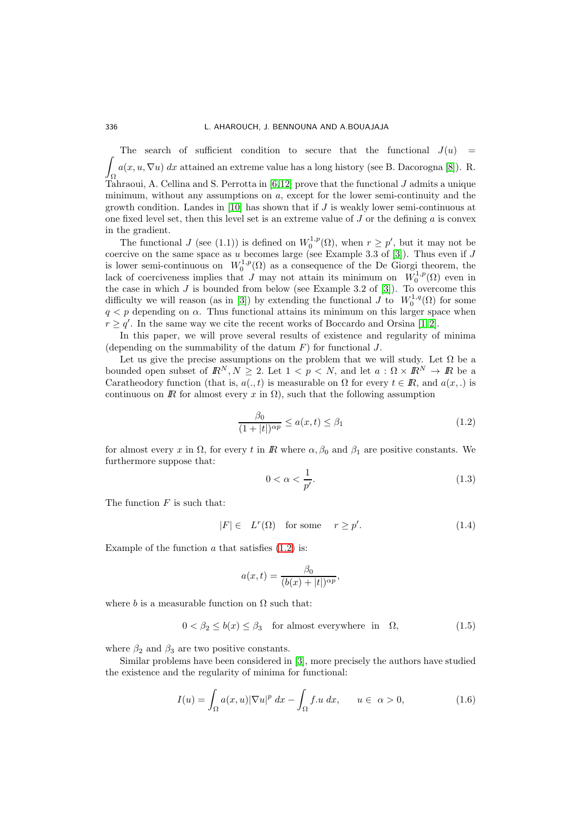Z The search of sufficient condition to secure that the functional  $J(u)$  = Ω  $a(x, u, \nabla u) dx$  attained an extreme value has a long history (see B. Dacorogna [\[8\]](#page-14-0)). R. Tahraoui, A. Cellina and S. Perrotta in  $[6,12]$  $[6,12]$  prove that the functional  $J$  admits a unique minimum, without any assumptions on a, except for the lower semi-continuity and the growth condition. Landes in [\[10\]](#page-14-3) has shown that if  $J$  is weakly lower semi-continuous at one fixed level set, then this level set is an extreme value of  $J$  or the defining  $a$  is convex in the gradient.

The functional J (see (1.1)) is defined on  $W_0^{1,p}(\Omega)$ , when  $r \geq p'$ , but it may not be coercive on the same space as u becomes large (see Example 3.3 of [\[3\]](#page-13-1)). Thus even if  $J$ is lower semi-continuous on  $W_0^{1,p}(\Omega)$  as a consequence of the De Giorgi theorem, the lack of coerciveness implies that  $J$  may not attain its minimum on  $W_0^{1,p}(\Omega)$  even in the case in which  $J$  is bounded from below (see Example 3.2 of [\[3\]](#page-13-1)). To overcome this difficulty we will reason (as in [\[3\]](#page-13-1)) by extending the functional  $\tilde{J}$  to  $W_0^{1,q}(\Omega)$  for some  $q < p$  depending on  $\alpha$ . Thus functional attains its minimum on this larger space when  $r \geq q'$ . In the same way we cite the recent works of Boccardo and Orsina [\[1,](#page-13-2)2].

In this paper, we will prove several results of existence and regularity of minima (depending on the summability of the datum  $F$ ) for functional  $J$ .

Let us give the precise assumptions on the problem that we will study. Let  $\Omega$  be a bounded open subset of  $\mathbb{R}^N, N \geq 2$ . Let  $1 < p < N$ , and let  $a : \Omega \times \mathbb{R}^N \to \mathbb{R}$  be a Caratheodory function (that is,  $a(., t)$  is measurable on  $\Omega$  for every  $t \in \mathbb{R}$ , and  $a(x, .)$  is continuous on  $\mathbb R$  for almost every  $x$  in  $\Omega$ ), such that the following assumption

<span id="page-1-0"></span>
$$
\frac{\beta_0}{(1+|t|)^{\alpha p}} \le a(x,t) \le \beta_1 \tag{1.2}
$$

for almost every x in  $\Omega$ , for every t in R where  $\alpha, \beta_0$  and  $\beta_1$  are positive constants. We furthermore suppose that:

<span id="page-1-1"></span>
$$
0 < \alpha < \frac{1}{p'}.\tag{1.3}
$$

The function  $F$  is such that:

$$
|F| \in L^r(\Omega) \quad \text{for some} \quad r \ge p'. \tag{1.4}
$$

Example of the function  $a$  that satisfies  $(1.2)$  is:

$$
a(x,t) = \frac{\beta_0}{(b(x) + |t|)^{\alpha p}},
$$

where b is a measurable function on  $\Omega$  such that:

$$
0 < \beta_2 \le b(x) \le \beta_3 \quad \text{for almost everywhere in} \quad \Omega,\tag{1.5}
$$

where  $\beta_2$  and  $\beta_3$  are two positive constants.

Similar problems have been considered in [\[3\]](#page-13-1), more precisely the authors have studied the existence and the regularity of minima for functional:

$$
I(u) = \int_{\Omega} a(x, u) |\nabla u|^p dx - \int_{\Omega} f.u dx, \qquad u \in \alpha > 0,
$$
 (1.6)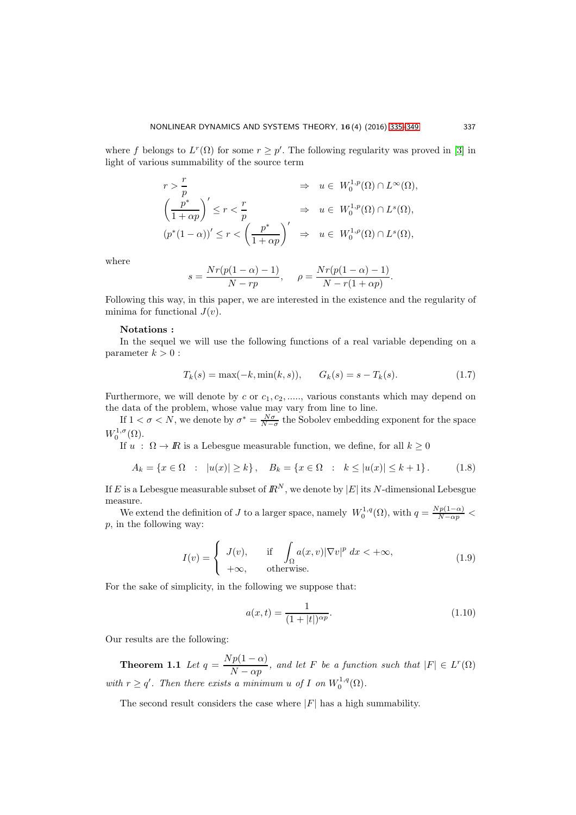where f belongs to  $L^r(\Omega)$  for some  $r \geq p'$ . The following regularity was proved in [\[3\]](#page-13-1) in light of various summability of the source term

$$
\begin{aligned}\nr &> \frac{r}{p} &> u \in W_0^{1,p}(\Omega) \cap L^\infty(\Omega), \\
\left(\frac{p^*}{1 + \alpha p}\right)' &\leq r < \frac{r}{p} &> u \in W_0^{1,p}(\Omega) \cap L^s(\Omega), \\
\left(p^*(1 - \alpha)\right)' &\leq r < \left(\frac{p^*}{1 + \alpha p}\right)' &> u \in W_0^{1,p}(\Omega) \cap L^s(\Omega),\n\end{aligned}
$$

where

$$
s = \frac{Nr(p(1 - \alpha) - 1)}{N - rp}, \quad \rho = \frac{Nr(p(1 - \alpha) - 1)}{N - r(1 + \alpha p)}
$$

Following this way, in this paper, we are interested in the existence and the regularity of minima for functional  $J(v)$ .

#### Notations :

In the sequel we will use the following functions of a real variable depending on a parameter  $k > 0$ :

<span id="page-2-2"></span>
$$
T_k(s) = \max(-k, \min(k, s)), \qquad G_k(s) = s - T_k(s). \tag{1.7}
$$

.

Furthermore, we will denote by c or  $c_1, c_2, \ldots$ , various constants which may depend on the data of the problem, whose value may vary from line to line.

If  $1 < \sigma < N$ , we denote by  $\sigma^* = \frac{N\sigma}{N-\sigma}$  the Sobolev embedding exponent for the space  $W_0^{1,\sigma}(\Omega)$ .

If  $u : \Omega \to \mathbb{R}$  is a Lebesgue measurable function, we define, for all  $k \geq 0$ 

<span id="page-2-1"></span>
$$
A_k = \{ x \in \Omega : |u(x)| \ge k \}, \quad B_k = \{ x \in \Omega : k \le |u(x)| \le k + 1 \}. \tag{1.8}
$$

If E is a Lebesgue measurable subset of  $\mathbb{R}^N$ , we denote by  $|E|$  its N-dimensional Lebesgue measure.

We extend the definition of J to a larger space, namely  $W_0^{1,q}(\Omega)$ , with  $q = \frac{Np(1-\alpha)}{N-\alpha p}$ p, in the following way:

$$
I(v) = \begin{cases} J(v), & \text{if } \int_{\Omega} a(x, v) |\nabla v|^p dx < +\infty, \\ +\infty, & \text{otherwise.} \end{cases}
$$
(1.9)

For the sake of simplicity, in the following we suppose that:

$$
a(x,t) = \frac{1}{(1+|t|)^{\alpha p}}.\t(1.10)
$$

Our results are the following:

**Theorem 1.1** Let  $q = \frac{Np(1-\alpha)}{N}$  $\frac{P(Y - \alpha)}{N - \alpha p}$ , and let F be a function such that  $|F| \in L^r(\Omega)$ with  $r \ge q'$ . Then there exists a minimum u of I on  $W_0^{1,q}(\Omega)$ .

<span id="page-2-0"></span>The second result considers the case where  $|F|$  has a high summability.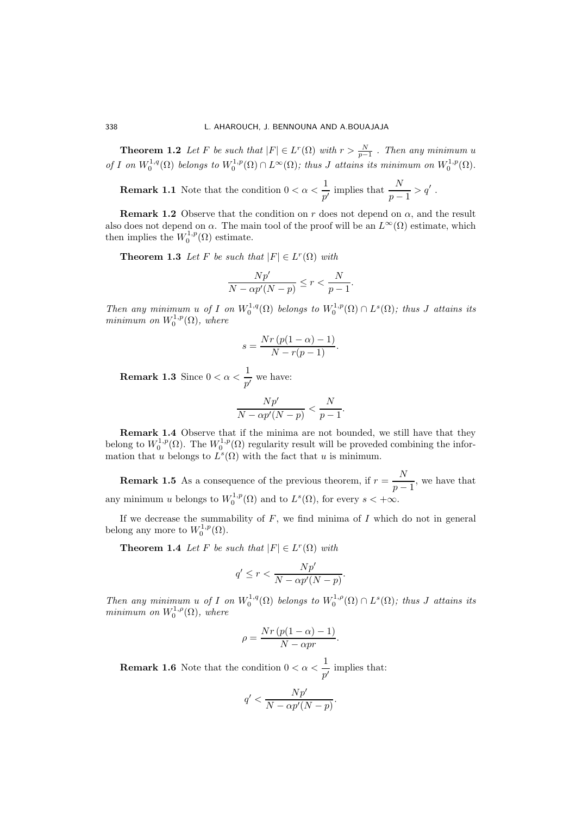#### 338 L. AHAROUCH, J. BENNOUNA AND A.BOUAJAJA

**Theorem 1.2** Let F be such that  $|F| \in L^r(\Omega)$  with  $r > \frac{N}{p-1}$ . Then any minimum u of I on  $W_0^{1,q}(\Omega)$  belongs to  $W_0^{1,p}(\Omega) \cap L^{\infty}(\Omega)$ ; thus J attains its minimum on  $W_0^{1,p}(\Omega)$ .

**Remark 1.1** Note that the condition  $0 < \alpha < \frac{1}{2}$  $\frac{1}{p'}$  implies that  $\frac{N}{p-1} > q'$ .

**Remark 1.2** Observe that the condition on r does not depend on  $\alpha$ , and the result also does not depend on  $\alpha$ . The main tool of the proof will be an  $L^{\infty}(\Omega)$  estimate, which then implies the  $W_0^{1,p}(\Omega)$  estimate.

<span id="page-3-0"></span>**Theorem 1.3** Let F be such that  $|F| \in L^r(\Omega)$  with

$$
\frac{Np'}{N - \alpha p'(N-p)} \le r < \frac{N}{p-1}.
$$

Then any minimum u of I on  $W_0^{1,q}(\Omega)$  belongs to  $W_0^{1,p}(\Omega) \cap L^s(\Omega)$ ; thus J attains its  $minimum on W_0^{1,p}(\Omega), where$ 

$$
s = \frac{Nr(p(1-\alpha)-1)}{N-r(p-1)}.
$$

**Remark 1.3** Since  $0 < \alpha < \frac{1}{2}$  $\frac{1}{p'}$  we have:

$$
\frac{Np'}{N - \alpha p'(N-p)} < \frac{N}{p-1}.
$$

Remark 1.4 Observe that if the minima are not bounded, we still have that they belong to  $W_0^{1,p}(\Omega)$ . The  $W_0^{1,p}(\Omega)$  regularity result will be proveded combining the information that u belongs to  $L^s(\Omega)$  with the fact that u is minimum.

**Remark 1.5** As a consequence of the previous theorem, if  $r = \frac{N}{n}$  $\frac{1}{p-1}$ , we have that any minimum u belongs to  $W_0^{1,p}(\Omega)$  and to  $L^s(\Omega)$ , for every  $s < +\infty$ .

If we decrease the summability of  $F$ , we find minima of  $I$  which do not in general belong any more to  $W_0^{1,p}(\Omega)$ .

**Theorem 1.4** Let F be such that  $|F| \in L^r(\Omega)$  with

<span id="page-3-1"></span>
$$
q' \le r < \frac{Np'}{N - \alpha p'(N - p)}.
$$

Then any minimum u of I on  $W_0^{1,q}(\Omega)$  belongs to  $W_0^{1,\rho}(\Omega) \cap L^s(\Omega)$ ; thus J attains its minimum on  $W_0^{1,\rho}(\Omega)$ , where

$$
\rho = \frac{Nr\left(p(1-\alpha) - 1\right)}{N - \alpha pr}.
$$

**Remark 1.6** Note that the condition  $0 < \alpha < \frac{1}{2}$  $\frac{1}{p'}$  implies that:

$$
q' < \frac{Np'}{N - \alpha p'(N - p)}.
$$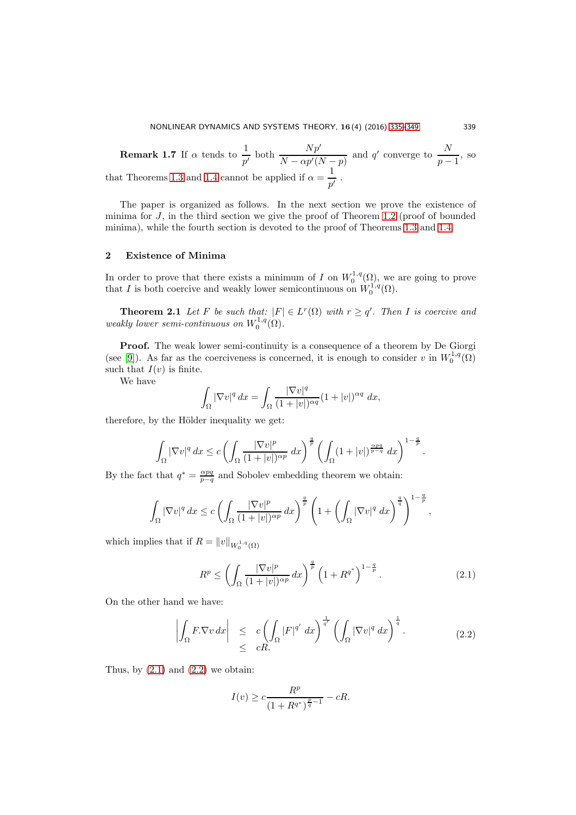**Remark 1.7** If  $\alpha$  tends to  $\frac{1}{p'}$  both  $\frac{Np'}{N - \alpha p'(N-p)}$  and  $q'$  converge to  $\frac{N}{p-p}$  $\frac{1}{p-1}$ , so that Theorems [1](#page-3-0).3 and 1.[4](#page-3-1) cannot be applied if  $\alpha = \frac{1}{4}$  $\frac{1}{p'}$ .

The paper is organized as follows. In the next section we prove the existence of minima for J, in the third section we give the proof of Theorem 1.[2](#page-2-0) (proof of bounded minima), while the fourth section is devoted to the proof of Theorems 1.[3](#page-3-0) and [1](#page-3-1).4.

## 2 Existence of Minima

<span id="page-4-2"></span>In order to prove that there exists a minimum of I on  $W_0^{1,q}(\Omega)$ , we are going to prove that I is both coercive and weakly lower semicontinuous on  $W_0^{1,q}(\Omega)$ .

**Theorem 2.1** Let F be such that:  $|F| \in L^r(\Omega)$  with  $r \ge q'$ . Then I is coercive and weakly lower semi-continuous on  $W_0^{1,q}(\Omega)$ .

Proof. The weak lower semi-continuity is a consequence of a theorem by De Giorgi (see [\[9\]](#page-14-4)). As far as the coerciveness is concerned, it is enough to consider v in  $W_0^{1,q}(\Omega)$ such that  $I(v)$  is finite.

We have

$$
\int_{\Omega} |\nabla v|^q dx = \int_{\Omega} \frac{|\nabla v|^q}{(1+|v|)^{\alpha q}} (1+|v|)^{\alpha q} dx,
$$

therefore, by the Hölder inequality we get:

$$
\int_{\Omega} |\nabla v|^q dx \leq c \left( \int_{\Omega} \frac{|\nabla v|^p}{(1+|v|)^{\alpha p}} dx \right)^{\frac{q}{p}} \left( \int_{\Omega} (1+|v|)^{\frac{\alpha pq}{p-q}} dx \right)^{1-\frac{q}{p}}.
$$

By the fact that  $q^* = \frac{\alpha pq}{p-q}$  and Sobolev embedding theorem we obtain:

$$
\int_{\Omega} |\nabla v|^q dx \leq c \left( \int_{\Omega} \frac{|\nabla v|^p}{(1+|v|)^{\alpha p}} dx \right)^{\frac{q}{p}} \left( 1 + \left( \int_{\Omega} |\nabla v|^q dx \right)^{\frac{q}{q}} \right)^{1-\frac{q}{p}},
$$

which implies that if  $R = ||v||_{W_0^{1,q}(\Omega)}$ 

<span id="page-4-0"></span>
$$
R^{p} \le \left(\int_{\Omega} \frac{|\nabla v|^{p}}{(1+|v|)^{\alpha p}} dx\right)^{\frac{q}{p}} \left(1 + R^{q^{*}}\right)^{1-\frac{q}{p}}.
$$
 (2.1)

On the other hand we have:

<span id="page-4-1"></span>
$$
\left| \int_{\Omega} F. \nabla v \, dx \right| \leq c \left( \int_{\Omega} |F|^{q'} \, dx \right)^{\frac{1}{q'}} \left( \int_{\Omega} |\nabla v|^{q} \, dx \right)^{\frac{1}{q}}.
$$
\n
$$
\leq cR.
$$
\n(2.2)

Thus, by  $(2.1)$  and  $(2.2)$  we obtain:

$$
I(v) \ge c \frac{R^p}{(1 + R^{q^*})^{\frac{p}{q} - 1}} - cR.
$$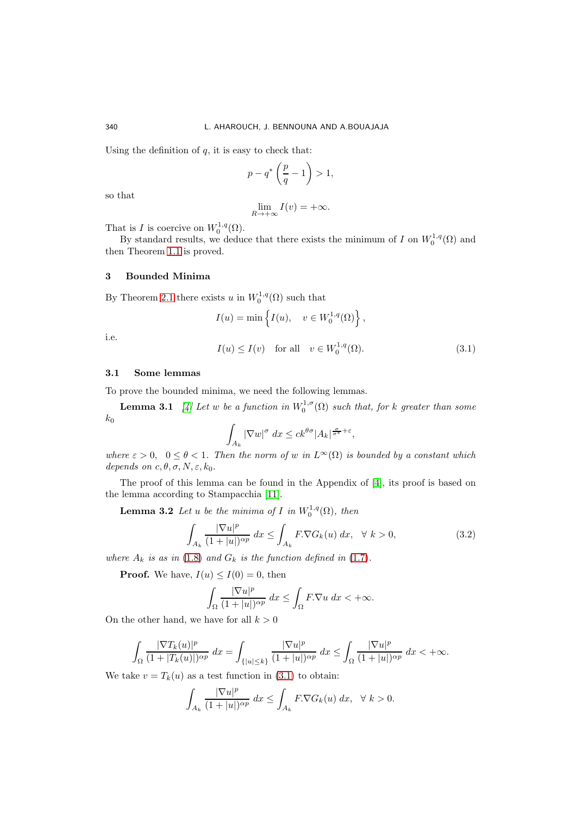Using the definition of  $q$ , it is easy to check that:

$$
p - q^* \left(\frac{p}{q} - 1\right) > 1,
$$

so that

$$
\lim_{R \to +\infty} I(v) = +\infty.
$$

That is *I* is coercive on  $W_0^{1,q}(\Omega)$ .

By standard results, we deduce that there exists the minimum of I on  $W_0^{1,q}(\Omega)$  and then Theorem [1](#page-0-1).1 is proved.

#### 3 Bounded Minima

By Theorem [2.1](#page-4-2) there exists u in  $W_0^{1,q}(\Omega)$  such that

$$
I(u) = \min \left\{ I(u), \quad v \in W_0^{1,q}(\Omega) \right\},\,
$$

i.e.

<span id="page-5-0"></span>
$$
I(u) \le I(v) \quad \text{for all} \quad v \in W_0^{1,q}(\Omega). \tag{3.1}
$$

#### 3.1 Some lemmas

To prove the bounded minima, we need the following lemmas.

**Lemma 3.1** [\[4\]](#page-14-5) Let w be a function in  $W_0^{1,\sigma}(\Omega)$  such that, for k greater than some  $\mathfrak{k}_0$ 

<span id="page-5-2"></span>
$$
\int_{A_k} |\nabla w|^{\sigma} dx \le ck^{\theta \sigma} |A_k|^{\frac{\sigma}{\sigma^*} + \varepsilon},
$$

where  $\varepsilon > 0$ ,  $0 \le \theta < 1$ . Then the norm of w in  $L^{\infty}(\Omega)$  is bounded by a constant which depends on  $c, \theta, \sigma, N, \varepsilon, k_0$ .

<span id="page-5-1"></span>The proof of this lemma can be found in the Appendix of [\[4\]](#page-14-5), its proof is based on the lemma according to Stampacchia [\[11\]](#page-14-6).

**Lemma 3.2** Let u be the minima of I in  $W_0^{1,q}(\Omega)$ , then

<span id="page-5-3"></span>
$$
\int_{A_k} \frac{|\nabla u|^p}{(1+|u|)^{\alpha p}} dx \le \int_{A_k} F.\nabla G_k(u) dx, \quad \forall \ k > 0,
$$
\n(3.2)

where  $A_k$  is as in [\(1](#page-2-2).8) and  $G_k$  is the function defined in (1.7).

**Proof.** We have,  $I(u) \leq I(0) = 0$ , then

$$
\int_{\Omega} \frac{|\nabla u|^p}{(1+|u|)^{\alpha p}} dx \le \int_{\Omega} F.\nabla u dx < +\infty.
$$

On the other hand, we have for all  $k > 0$ 

$$
\int_{\Omega} \frac{|\nabla T_k(u)|^p}{(1+|T_k(u)|)^{\alpha p}} dx = \int_{\{|u| \le k\}} \frac{|\nabla u|^p}{(1+|u|)^{\alpha p}} dx \le \int_{\Omega} \frac{|\nabla u|^p}{(1+|u|)^{\alpha p}} dx < +\infty.
$$

We take  $v = T_k(u)$  as a test function in (3.[1\)](#page-5-0) to obtain:

$$
\int_{A_k} \frac{|\nabla u|^p}{(1+|u|)^{\alpha p}} dx \le \int_{A_k} F.\nabla G_k(u) dx, \quad \forall \ k > 0.
$$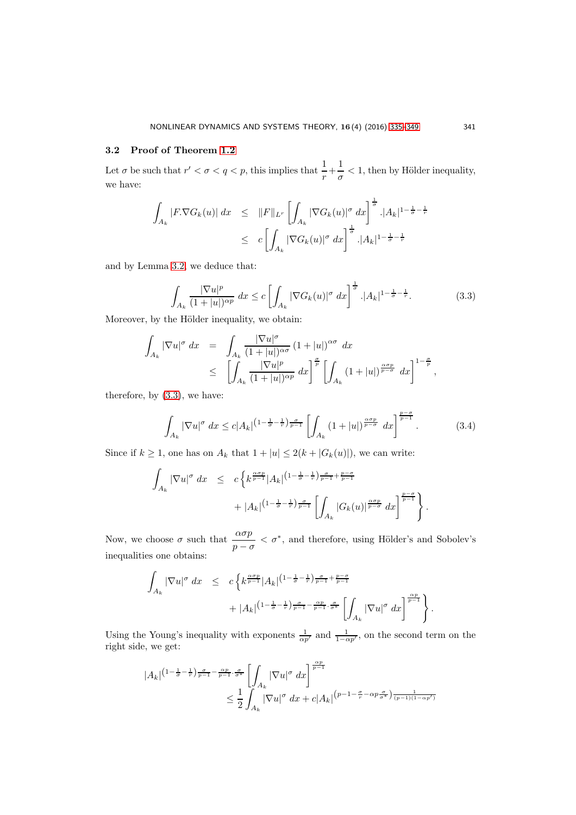## 3.2 Proof of Theorem [1.2](#page-2-0)

Let  $\sigma$  be such that  $r' < \sigma < q < p$ , this implies that  $\frac{1}{r} + \frac{1}{\sigma}$  $\frac{1}{\sigma}$  < 1, then by Hölder inequality, we have:

$$
\int_{A_k} |F \cdot \nabla G_k(u)| \, dx \leq \|F\|_{L^r} \left[ \int_{A_k} |\nabla G_k(u)|^{\sigma} \, dx \right]^{\frac{1}{\sigma}} \cdot |A_k|^{1 - \frac{1}{\sigma} - \frac{1}{r}}
$$
\n
$$
\leq c \left[ \int_{A_k} |\nabla G_k(u)|^{\sigma} \, dx \right]^{\frac{1}{\sigma}} \cdot |A_k|^{1 - \frac{1}{\sigma} - \frac{1}{r}}
$$

and by Lemma [3.2,](#page-5-1) we deduce that:

<span id="page-6-0"></span>
$$
\int_{A_k} \frac{|\nabla u|^p}{(1+|u|)^{\alpha p}} dx \le c \left[ \int_{A_k} |\nabla G_k(u)|^{\sigma} dx \right]^{\frac{1}{\sigma}} . |A_k|^{1-\frac{1}{\sigma}-\frac{1}{r}}.
$$
\n(3.3)

Moreover, by the Hölder inequality, we obtain:

$$
\int_{A_k} |\nabla u|^{\sigma} dx = \int_{A_k} \frac{|\nabla u|^{\sigma}}{(1+|u|)^{\alpha \sigma}} (1+|u|)^{\alpha \sigma} dx
$$
  
\n
$$
\leq \left[ \int_{A_k} \frac{|\nabla u|^p}{(1+|u|)^{\alpha p}} dx \right]^{\frac{\sigma}{p}} \left[ \int_{A_k} (1+|u|)^{\frac{\alpha \sigma_p}{p-\sigma}} dx \right]^{1-\frac{\sigma}{p}},
$$

therefore, by [\(3](#page-6-0).3), we have:

$$
\int_{A_k} |\nabla u|^{\sigma} dx \leq c |A_k|^{(1-\frac{1}{\sigma}-\frac{1}{r})\frac{\sigma}{p-1}} \left[ \int_{A_k} (1+|u|)^{\frac{\alpha\sigma p}{p-\sigma}} dx \right]^{\frac{p-\sigma}{p-1}}.
$$
 (3.4)

Since if  $k \ge 1$ , one has on  $A_k$  that  $1 + |u| \le 2(k + |G_k(u)|)$ , we can write:

$$
\int_{A_k} |\nabla u|^{\sigma} dx \leq c \left\{ k^{\frac{\alpha \sigma p}{p-1}} |A_k|^{(1-\frac{1}{\sigma}-\frac{1}{r})\frac{\sigma}{p-1}+\frac{p-\sigma}{p-1}} \right. \\ \left. + |A_k|^{(1-\frac{1}{\sigma}-\frac{1}{r})\frac{\sigma}{p-1}} \left[ \int_{A_k} |G_k(u)|^{\frac{\alpha \sigma p}{p-\sigma}} dx \right]^{\frac{p-\sigma}{p-1}} \right\}.
$$

Now, we choose  $\sigma$  such that  $\frac{\alpha \sigma p}{p - \sigma} < \sigma^*$ , and therefore, using Hölder's and Sobolev's inequalities one obtains:

$$
\int_{A_k} |\nabla u|^{\sigma} dx \leq c \left\{ k^{\frac{\alpha \sigma p}{p-1}} |A_k|^{(1-\frac{1}{\sigma}-\frac{1}{r})\frac{\sigma}{p-1}+\frac{p-\sigma}{p-1}} + \frac{1}{r-1}} + |A_k|^{(1-\frac{1}{\sigma}-\frac{1}{r})\frac{\sigma}{p-1}-\frac{\alpha p}{p-1}\frac{\sigma}{r}} \left[ \int_{A_k} |\nabla u|^{\sigma} dx \right]^{\frac{\alpha p}{p-1}} \right\}.
$$

Using the Young's inequality with exponents  $\frac{1}{\alpha p'}$  and  $\frac{1}{1-\alpha p'}$ , on the second term on the right side, we get:

$$
|A_k|^{(1-\frac{1}{\sigma}-\frac{1}{r})\frac{\sigma}{p-1}-\frac{\alpha p}{p-1}\cdot\frac{\sigma}{\sigma^*}}\left[\int_{A_k}|\nabla u|^{\sigma} dx\right]^{\frac{\alpha p}{p-1}} \leq \frac{1}{2}\int_{A_k}|\nabla u|^{\sigma} dx + c|A_k|^{(p-1-\frac{\sigma}{r}-\alpha p\frac{\sigma}{\sigma^*})\frac{1}{(p-1)(1-\alpha p')}}
$$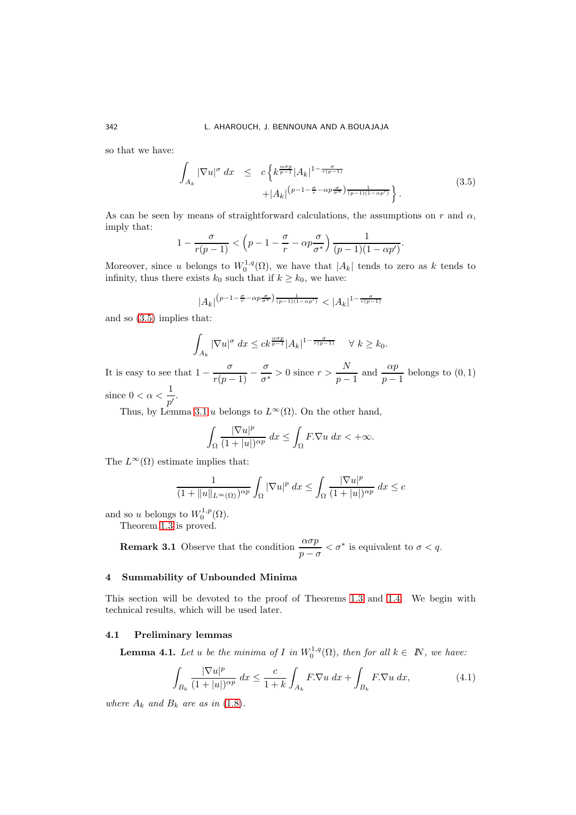so that we have:

<span id="page-7-0"></span>
$$
\int_{A_k} |\nabla u|^{\sigma} dx \le c \left\{ k^{\frac{\alpha \sigma p}{p-1}} |A_k|^{1 - \frac{\sigma}{r(p-1)}} + |A_k|^{(p-1 - \frac{\sigma}{r} - \alpha p \frac{\sigma}{\sigma^*})} \frac{1}{(p-1)(1 - \alpha p')} \right\}.
$$
\n(3.5)

As can be seen by means of straightforward calculations, the assumptions on  $r$  and  $\alpha$ , imply that:

$$
1 - \frac{\sigma}{r(p-1)} < \left(p - 1 - \frac{\sigma}{r} - \alpha p \frac{\sigma}{\sigma^*}\right) \frac{1}{(p-1)(1 - \alpha p')}.
$$

Moreover, since u belongs to  $W_0^{1,q}(\Omega)$ , we have that  $|A_k|$  tends to zero as k tends to infinity, thus there exists  $k_0$  such that if  $k \geq k_0$ , we have:

$$
|A_k|^{(p-1-\frac{\sigma}{r}-\alpha p\frac{\sigma}{\sigma^*})\frac{1}{(p-1)(1-\alpha p')}}<|A_k|^{1-\frac{\sigma}{r(p-1)}}
$$

and so [\(3](#page-7-0).5) implies that:

$$
\int_{A_k} |\nabla u|^{\sigma} dx \leq c k^{\frac{\alpha \sigma p}{p-1}} |A_k|^{1-\frac{\sigma}{r(p-1)}} \quad \forall \ k \geq k_0.
$$

It is easy to see that  $1 - \frac{\sigma}{r(p-1)} - \frac{\sigma}{\sigma^3}$  $\frac{\sigma}{\sigma^*} > 0$  since  $r > \frac{N}{p-1}$  $\frac{N}{p-1}$  and  $\frac{\alpha p}{p-1}$  belongs to  $(0,1)$ since  $0 < \alpha < \frac{1}{4}$ 

 $\frac{1}{p'}$ .

Thus, by Lemma [3.1](#page-5-2) u belongs to  $L^{\infty}(\Omega)$ . On the other hand,

$$
\int_{\Omega} \frac{|\nabla u|^p}{(1+|u|)^{\alpha p}} dx \le \int_{\Omega} F.\nabla u dx < +\infty.
$$

The  $L^{\infty}(\Omega)$  estimate implies that:

$$
\frac{1}{(1+\|u\|_{L^{\infty}(\Omega)})^{\alpha p}} \int_{\Omega} |\nabla u|^p dx \le \int_{\Omega} \frac{|\nabla u|^p}{(1+|u|)^{\alpha p}} dx \le c
$$

and so u belongs to  $W_0^{1,p}(\Omega)$ .

Theorem [1.3](#page-1-1) is proved.

**Remark 3.1** Observe that the condition  $\frac{\alpha \sigma p}{p - \sigma} < \sigma^*$  is equivalent to  $\sigma < q$ .

### 4 Summability of Unbounded Minima

This section will be devoted to the proof of Theorems [1](#page-3-0).3 and [1](#page-3-1).4. We begin with technical results, which will be used later.

### 4.1 Preliminary lemmas

**Lemma 4.1.** Let u be the minima of I in  $W_0^{1,q}(\Omega)$ , then for all  $k \in \mathbb{N}$ , we have:

<span id="page-7-1"></span>
$$
\int_{B_k} \frac{|\nabla u|^p}{(1+|u|)^{\alpha p}} dx \le \frac{c}{1+k} \int_{A_k} F.\nabla u dx + \int_{B_k} F.\nabla u dx,
$$
\n(4.1)

where  $A_k$  and  $B_k$  are as in (1.[8\)](#page-2-1).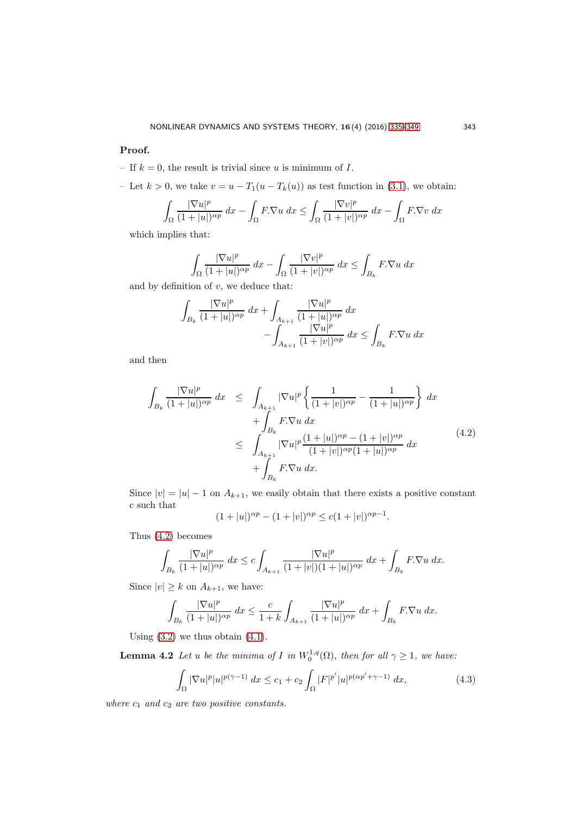## Proof.

- If  $k = 0$ , the result is trivial since u is minimum of I.
- Let  $k > 0$ , we take  $v = u T_1(u T_k(u))$  as test function in [\(3](#page-5-0).1), we obtain:

$$
\int_{\Omega} \frac{|\nabla u|^p}{(1+|u|)^{\alpha p}} dx - \int_{\Omega} F.\nabla u dx \le \int_{\Omega} \frac{|\nabla v|^p}{(1+|v|)^{\alpha p}} dx - \int_{\Omega} F.\nabla v dx
$$

which implies that:

$$
\int_{\Omega} \frac{|\nabla u|^p}{(1+|u|)^{\alpha p}} dx - \int_{\Omega} \frac{|\nabla v|^p}{(1+|v|)^{\alpha p}} dx \le \int_{B_k} F.\nabla u dx
$$

and by definition of  $v$ , we deduce that:

$$
\int_{B_k} \frac{|\nabla u|^p}{(1+|u|)^{\alpha p}} dx + \int_{A_{k+1}} \frac{|\nabla u|^p}{(1+|u|)^{\alpha p}} dx - \int_{A_{k+1}} \frac{|\nabla u|^p}{(1+|v|)^{\alpha p}} dx \le \int_{B_k} F.\nabla u dx
$$

and then

<span id="page-8-0"></span>
$$
\int_{B_k} \frac{|\nabla u|^p}{(1+|u|)^{\alpha p}} dx \leq \int_{A_{k+1}} |\nabla u|^p \left\{ \frac{1}{(1+|v|)^{\alpha p}} - \frac{1}{(1+|u|)^{\alpha p}} \right\} dx \n+ \int_{B_k} F.\nabla u dx \n\leq \int_{A_{k+1}} |\nabla u|^p \frac{(1+|u|)^{\alpha p} - (1+|v|)^{\alpha p}}{(1+|v|)^{\alpha p}(1+|u|)^{\alpha p}} dx \n+ \int_{B_k} F.\nabla u dx.
$$
\n(4.2)

Since  $|v| = |u| - 1$  on  $A_{k+1}$ , we easily obtain that there exists a positive constant c such that

$$
(1+|u|)^{\alpha p} - (1+|v|)^{\alpha p} \le c(1+|v|)^{\alpha p-1}.
$$

Thus (4.[2\)](#page-8-0) becomes

$$
\int_{B_k} \frac{|\nabla u|^p}{(1+|u|)^{\alpha p}} \, dx \le c \int_{A_{k+1}} \frac{|\nabla u|^p}{(1+|v|)(1+|u|)^{\alpha p}} \, dx + \int_{B_k} F.\nabla u \, dx.
$$

Since  $|v| \geq k$  on  $A_{k+1}$ , we have:

$$
\int_{B_k} \frac{|\nabla u|^p}{(1+|u|)^{\alpha p}} \, dx \le \frac{c}{1+k} \int_{A_{k+1}} \frac{|\nabla u|^p}{(1+|u|)^{\alpha p}} \, dx + \int_{B_k} F.\nabla u \, dx.
$$

Using  $(3.2)$  $(3.2)$  we thus obtain  $(4.1)$  $(4.1)$ .

<span id="page-8-2"></span>**Lemma 4.2** Let u be the minima of I in  $W_0^{1,q}(\Omega)$ , then for all  $\gamma \geq 1$ , we have:

<span id="page-8-1"></span>
$$
\int_{\Omega} |\nabla u|^p |u|^{p(\gamma - 1)} dx \le c_1 + c_2 \int_{\Omega} |F|^{p'} |u|^{p(\alpha p' + \gamma - 1)} dx,
$$
\n(4.3)

where  $c_1$  and  $c_2$  are two positive constants.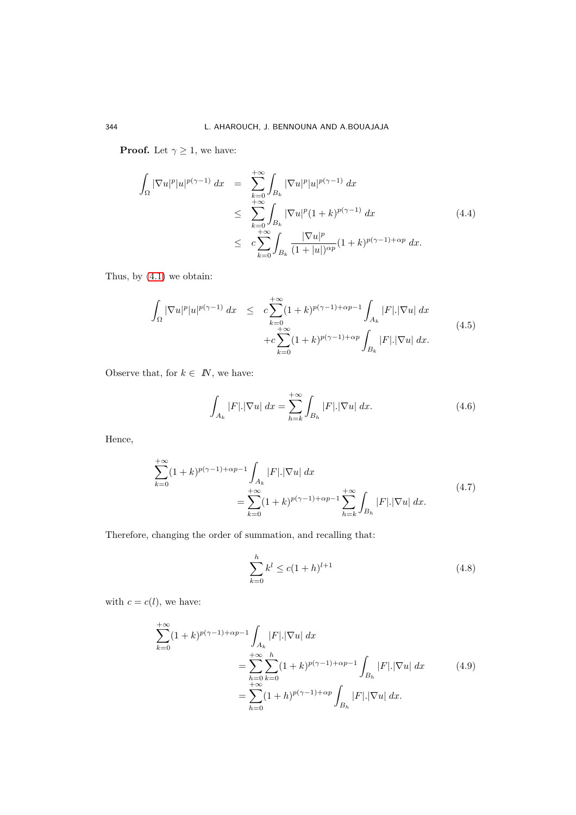**Proof.** Let  $\gamma \geq 1$ , we have:

$$
\int_{\Omega} |\nabla u|^p |u|^{p(\gamma-1)} dx = \sum_{k=0}^{+\infty} \int_{B_k} |\nabla u|^p |u|^{p(\gamma-1)} dx
$$
\n
$$
\leq \sum_{k=0}^{+\infty} \int_{B_k} |\nabla u|^p (1+k)^{p(\gamma-1)} dx
$$
\n
$$
\leq c \sum_{k=0}^{+\infty} \int_{B_k} \frac{|\nabla u|^p}{(1+|u|)^{\alpha p}} (1+k)^{p(\gamma-1)+\alpha p} dx.
$$
\n(4.4)

Thus, by (4.[1\)](#page-7-1) we obtain:

<span id="page-9-0"></span>
$$
\int_{\Omega} |\nabla u|^p |u|^{p(\gamma-1)} dx \leq c \sum_{k=0}^{+\infty} (1+k)^{p(\gamma-1)+\alpha p-1} \int_{A_k} |F| |\nabla u| dx \n+ c \sum_{k=0}^{+\infty} (1+k)^{p(\gamma-1)+\alpha p} \int_{B_k} |F| |\nabla u| dx.
$$
\n(4.5)

Observe that, for  $k \in \mathbb{N}$ , we have:

<span id="page-9-1"></span>
$$
\int_{A_k} |F| |\nabla u| \, dx = \sum_{h=k}^{+\infty} \int_{B_h} |F| |\nabla u| \, dx. \tag{4.6}
$$

Hence,

$$
\sum_{k=0}^{+\infty} (1+k)^{p(\gamma-1)+\alpha p-1} \int_{A_k} |F|. |\nabla u| \, dx
$$
\n
$$
= \sum_{k=0}^{+\infty} (1+k)^{p(\gamma-1)+\alpha p-1} \sum_{h=k}^{+\infty} \int_{B_h} |F|. |\nabla u| \, dx. \tag{4.7}
$$

Therefore, changing the order of summation, and recalling that:

<span id="page-9-2"></span>
$$
\sum_{k=0}^{h} k^{l} \le c(1+h)^{l+1}
$$
\n(4.8)

with  $c = c(l)$ , we have:

$$
\sum_{k=0}^{+\infty} (1+k)^{p(\gamma-1)+\alpha p-1} \int_{A_k} |F| |\nabla u| \, dx
$$
\n
$$
= \sum_{h=0}^{+\infty} \sum_{k=0}^{h} (1+k)^{p(\gamma-1)+\alpha p-1} \int_{B_h} |F| |\nabla u| \, dx \qquad (4.9)
$$
\n
$$
= \sum_{h=0}^{+\infty} (1+h)^{p(\gamma-1)+\alpha p} \int_{B_h} |F| |\nabla u| \, dx.
$$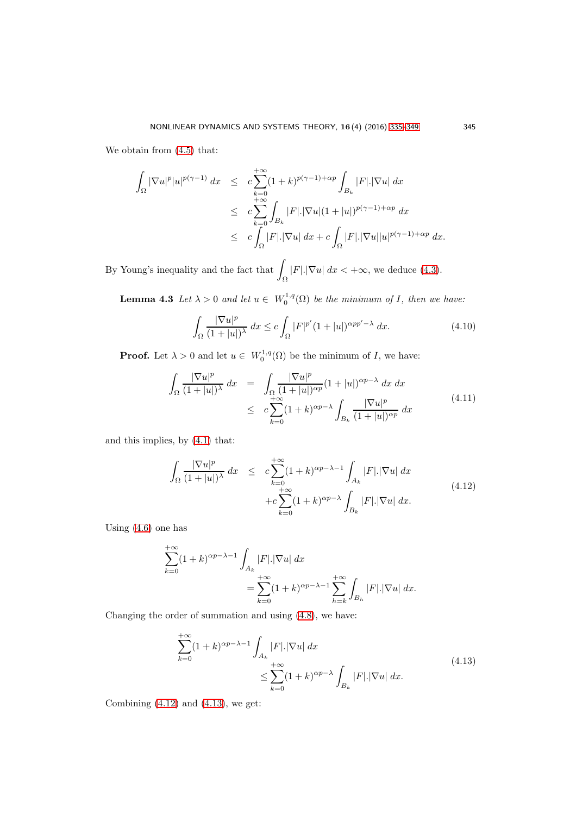We obtain from  $(4.5)$  that:

$$
\int_{\Omega} |\nabla u|^p |u|^{p(\gamma-1)} dx \leq c \sum_{k=0}^{+\infty} (1+k)^{p(\gamma-1)+\alpha p} \int_{B_k} |F| |\nabla u| dx
$$
  
\n
$$
\leq c \sum_{k=0}^{+\infty} \int_{B_k} |F| |\nabla u|(1+|u|)^{p(\gamma-1)+\alpha p} dx
$$
  
\n
$$
\leq c \int_{\Omega} |F| |\nabla u| dx + c \int_{\Omega} |F| |\nabla u| |u|^{p(\gamma-1)+\alpha p} dx.
$$

By Young's inequality and the fact that  $\Box$ Ω  $|F|.|\nabla u| dx < +\infty$ , we deduce [\(4](#page-8-1).3).

**Lemma 4.3** Let  $\lambda > 0$  and let  $u \in W_0^{1,q}(\Omega)$  be the minimum of I, then we have:

$$
\int_{\Omega} \frac{|\nabla u|^p}{(1+|u|)^{\lambda}} dx \le c \int_{\Omega} |F|^{p'} (1+|u|)^{\alpha p p' - \lambda} dx.
$$
\n(4.10)

**Proof.** Let  $\lambda > 0$  and let  $u \in W_0^{1,q}(\Omega)$  be the minimum of I, we have:

$$
\int_{\Omega} \frac{|\nabla u|^p}{(1+|u|)^{\lambda}} dx = \int_{\Omega} \frac{|\nabla u|^p}{(1+|u|)^{\alpha p}} (1+|u|)^{\alpha p-\lambda} dx dx
$$
\n
$$
\leq c \sum_{k=0}^{+\infty} (1+k)^{\alpha p-\lambda} \int_{B_k} \frac{|\nabla u|^p}{(1+|u|)^{\alpha p}} dx \tag{4.11}
$$

and this implies, by (4.[1\)](#page-7-1) that:

<span id="page-10-0"></span>
$$
\int_{\Omega} \frac{|\nabla u|^p}{(1+|u|)^{\lambda}} dx \leq c \sum_{k=0}^{+\infty} (1+k)^{\alpha p - \lambda - 1} \int_{A_k} |F| |\nabla u| dx
$$
\n
$$
+ c \sum_{k=0}^{+\infty} (1+k)^{\alpha p - \lambda} \int_{B_k} |F| |\nabla u| dx.
$$
\n(4.12)

Using [\(4](#page-9-1).6) one has

$$
\sum_{k=0}^{+\infty} (1+k)^{\alpha p - \lambda - 1} \int_{A_k} |F|. |\nabla u| \, dx
$$
  
= 
$$
\sum_{k=0}^{+\infty} (1+k)^{\alpha p - \lambda - 1} \sum_{h=k}^{+\infty} \int_{B_h} |F|. |\nabla u| \, dx.
$$

Changing the order of summation and using [\(4](#page-9-2).8), we have:

<span id="page-10-1"></span>
$$
\sum_{k=0}^{+\infty} (1+k)^{\alpha p - \lambda - 1} \int_{A_k} |F| |\nabla u| dx
$$
\n
$$
\leq \sum_{k=0}^{+\infty} (1+k)^{\alpha p - \lambda} \int_{B_k} |F| |\nabla u| dx.
$$
\n(4.13)

Combining  $(4.12)$  $(4.12)$  and  $(4.13)$  $(4.13)$ , we get: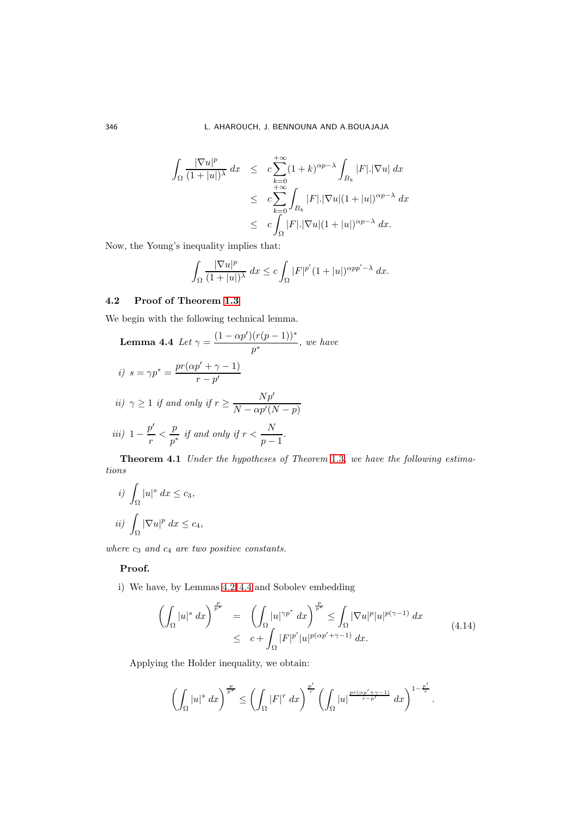$$
\int_{\Omega} \frac{|\nabla u|^p}{(1+|u|)^{\lambda}} dx \leq c \sum_{k=0}^{+\infty} (1+k)^{\alpha p-\lambda} \int_{B_k} |F| |\nabla u| dx
$$
  
\n
$$
\leq c \sum_{k=0}^{+\infty} \int_{B_k} |F| |\nabla u|(1+|u|)^{\alpha p-\lambda} dx
$$
  
\n
$$
\leq c \int_{\Omega} |F| |\nabla u|(1+|u|)^{\alpha p-\lambda} dx.
$$

Now, the Young's inequality implies that:

<span id="page-11-0"></span>
$$
\int_{\Omega} \frac{|\nabla u|^p}{(1+|u|)^{\lambda}} dx \leq c \int_{\Omega} |F|^{p'} (1+|u|)^{\alpha p p' - \lambda} dx.
$$

# 4.2 Proof of Theorem [1.3](#page-3-0)

We begin with the following technical lemma.

**Lemma 4.4** Let 
$$
\gamma = \frac{(1 - \alpha p')(r(p-1))^*}{p^*}
$$
, we have  
\n*i)*  $s = \gamma p^* = \frac{pr(\alpha p' + \gamma - 1)}{r - p'}$   
\n*ii)*  $\gamma \ge 1$  *if and only if*  $r \ge \frac{Np'}{N - \alpha p'(N - p)}$   
\n*iii)*  $1 - \frac{p'}{r} < \frac{p}{p^*}$  *if and only if*  $r < \frac{N}{p - 1}$ .  
\n**Theorem 4.1** Under the hypotheses of Theorem 1'

Theorem 4.[1](#page-3-0) Under the hypotheses of Theorem 1.3, we have the following estimations

$$
i) \int_{\Omega} |u|^s dx \le c_3,
$$
  

$$
ii) \int_{\Omega} |\nabla u|^p dx \le c_4,
$$

where  $c_3$  and  $c_4$  are two positive constants.

# Proof.

i) We have, by Lemmas [4](#page-8-2).2, 4.[4](#page-11-0) and Sobolev embedding

<span id="page-11-1"></span>
$$
\left(\int_{\Omega} |u|^{s} dx\right)^{\frac{p}{p^{*}}} = \left(\int_{\Omega} |u|^{\gamma p^{*}} dx\right)^{\frac{p}{p^{*}}} \leq \int_{\Omega} |\nabla u|^{p} |u|^{p(\gamma-1)} dx
$$
\n
$$
\leq c + \int_{\Omega} |F|^{p'} |u|^{p(\alpha p' + \gamma - 1)} dx.
$$
\n(4.14)

Applying the Holder inequality, we obtain:

$$
\left(\int_{\Omega}|u|^{s} dx\right)^{\frac{p}{p^{*}}} \leq \left(\int_{\Omega}|F|^{r} dx\right)^{\frac{p'}{r}} \left(\int_{\Omega}|u|^{\frac{pr(\alpha p'+\gamma-1)}{r-p'}} dx\right)^{1-\frac{p'}{r}}.
$$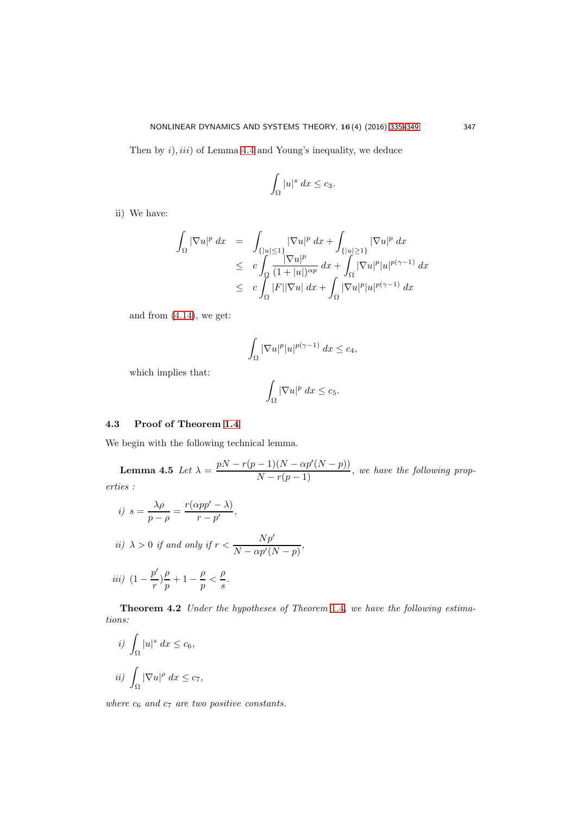Then by  $i$ ,  $iii$ ) of Lemma [4](#page-11-0).4 and Young's inequality, we deduce

$$
\int_{\Omega} |u|^s \ dx \leq c_3.
$$

ii) We have:

$$
\int_{\Omega} |\nabla u|^p dx = \int_{\{|u| \le 1\}} |\nabla u|^p dx + \int_{\{|u| \ge 1\}} |\nabla u|^p dx
$$
  
\n
$$
\le c \int_{\Omega} \frac{|\nabla u|^p}{(1+|u|)^{\alpha p}} dx + \int_{\Omega} |\nabla u|^p |u|^{p(\gamma-1)} dx
$$
  
\n
$$
\le c \int_{\Omega} |F| |\nabla u| dx + \int_{\Omega} |\nabla u|^p |u|^{p(\gamma-1)} dx
$$

and from (4.[14\)](#page-11-1), we get:

$$
\int_{\Omega} |\nabla u|^p |u|^{p(\gamma - 1)} dx \le c_4,
$$

which implies that:

<span id="page-12-0"></span>
$$
\int_{\Omega} |\nabla u|^p \ dx \leq c_5.
$$

# 4.3 Proof of Theorem [1.4](#page-3-1)

We begin with the following technical lemma.

**Lemma 4.5** Let  $\lambda = \frac{pN - r(p-1)(N - \alpha p'(N-p))}{N - r(p-1)}$ , we have the following properties :

*i)* 
$$
s = \frac{\lambda \rho}{p - \rho} = \frac{r(\alpha pp' - \lambda)}{r - p'},
$$
  
\n*ii)*  $\lambda > 0$  *if and only if*  $r < \frac{Np'}{N - \alpha p'(N - p)},$   
\n*iii)*  $\left(1 - \frac{p'}{r}\right)\frac{\rho}{p} + 1 - \frac{\rho}{p} < \frac{\rho}{s}.$ 

Theorem 4.2 Under the hypotheses of Theorem [1](#page-3-1).4, we have the following estimations:

$$
i) \int_{\Omega} |u|^s dx \le c_6,
$$
  

$$
ii) \int_{\Omega} |\nabla u|^{\rho} dx \le c_7,
$$

where  $c_6$  and  $c_7$  are two positive constants.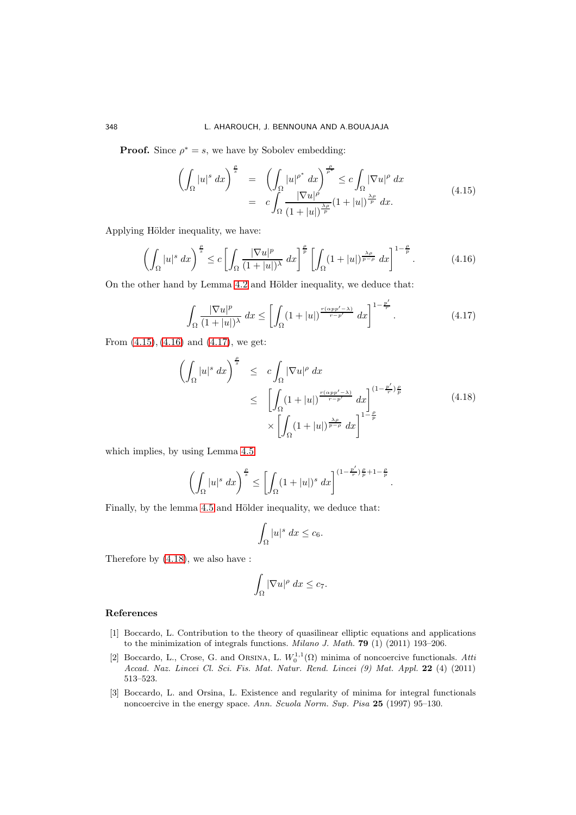**Proof.** Since  $\rho^* = s$ , we have by Sobolev embedding:

<span id="page-13-4"></span>
$$
\left(\int_{\Omega} |u|^s \, dx\right)^{\frac{\rho}{s}} = \left(\int_{\Omega} |u|^{\rho^*} \, dx\right)^{\frac{\rho}{\rho^*}} \leq c \int_{\Omega} |\nabla u|^{\rho} \, dx
$$
\n
$$
= c \int_{\Omega} \frac{|\nabla u|^{\rho}}{(1+|u|)^{\frac{\lambda \rho}{p}}}(1+|u|)^{\frac{\lambda \rho}{p}} \, dx. \tag{4.15}
$$

Applying Hölder inequality, we have:

<span id="page-13-5"></span>
$$
\left(\int_{\Omega} |u|^s \, dx\right)^{\frac{\rho}{s}} \le c \left[\int_{\Omega} \frac{|\nabla u|^p}{(1+|u|)^{\lambda}} \, dx\right]^{\frac{\rho}{p}} \left[\int_{\Omega} (1+|u|)^{\frac{\lambda p}{p-\rho}} \, dx\right]^{1-\frac{\rho}{p}}.\tag{4.16}
$$

On the other hand by Lemma 4.[2](#page-8-2) and Hölder inequality, we deduce that:

<span id="page-13-6"></span>
$$
\int_{\Omega} \frac{|\nabla u|^p}{(1+|u|)^{\lambda}} dx \le \left[ \int_{\Omega} (1+|u|)^{\frac{r(\alpha pp'-\lambda)}{r-p'}} dx \right]^{1-\frac{p'}{r}}.
$$
\n(4.17)

From  $(4.15)$  $(4.15)$ ,  $(4.16)$  $(4.16)$  and  $(4.17)$  $(4.17)$ , we get:

<span id="page-13-7"></span>
$$
\left(\int_{\Omega} |u|^s \, dx\right)^{\frac{\rho}{s}} \leq c \int_{\Omega} |\nabla u|^{\rho} \, dx
$$
\n
$$
\leq \left[\int_{\Omega} (1+|u|)^{\frac{r(\alpha pp'-\lambda)}{r-p'}} \, dx\right]^{(1-\frac{p'}{r})\frac{\rho}{p}} \times \left[\int_{\Omega} (1+|u|)^{\frac{\lambda\rho}{p-\rho}} \, dx\right]^{1-\frac{\rho}{p}} \tag{4.18}
$$

which implies, by using Lemma [4](#page-12-0).5

$$
\left(\int_{\Omega}|u|^{s} dx\right)^{\frac{\rho}{s}} \leq \left[\int_{\Omega}(1+|u|)^{s} dx\right]^{(1-\frac{p'}{r})\frac{\rho}{p}+1-\frac{\rho}{p}}.
$$

Finally, by the lemma 4.[5](#page-12-0) and Hölder inequality, we deduce that:

$$
\int_{\Omega} |u|^s \ dx \leq c_6.
$$

Therefore by (4.[18\)](#page-13-7), we also have :

$$
\int_{\Omega} |\nabla u|^{\rho} dx \leq c_7.
$$

#### <span id="page-13-2"></span><span id="page-13-0"></span>References

- [1] Boccardo, L. Contribution to the theory of quasilinear elliptic equations and applications to the minimization of integrals functions. Milano J. Math. 79 (1) (2011) 193–206.
- <span id="page-13-3"></span>[2] Boccardo, L., Crose, G. and ORSINA, L.  $W_0^{1,1}(\Omega)$  minima of noncoercive functionals. Atti Accad. Naz. Lincei Cl. Sci. Fis. Mat. Natur. Rend. Lincei (9) Mat. Appl. 22 (4) (2011) 513–523.
- <span id="page-13-1"></span>[3] Boccardo, L. and Orsina, L. Existence and regularity of minima for integral functionals noncoercive in the energy space. Ann. Scuola Norm. Sup. Pisa 25 (1997) 95–130.